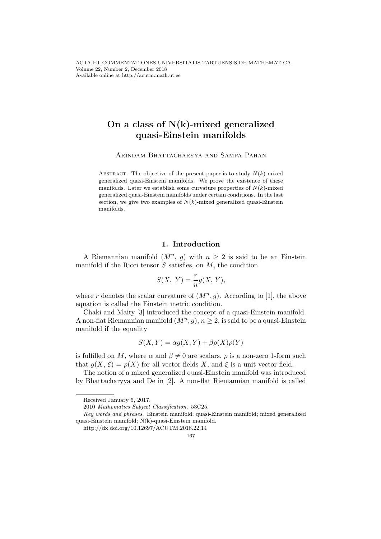# On a class of  $N(k)$ -mixed generalized quasi-Einstein manifolds

ARINDAM BHATTACHARYYA AND SAMPA PAHAN

ABSTRACT. The objective of the present paper is to study  $N(k)$ -mixed generalized quasi-Einstein manifolds. We prove the existence of these manifolds. Later we establish some curvature properties of  $N(k)$ -mixed generalized quasi-Einstein manifolds under certain conditions. In the last section, we give two examples of  $N(k)$ -mixed generalized quasi-Einstein manifolds.

#### 1. Introduction

A Riemannian manifold  $(M^n, g)$  with  $n \geq 2$  is said to be an Einstein manifold if the Ricci tensor  $S$  satisfies, on  $M$ , the condition

$$
S(X, Y) = \frac{r}{n}g(X, Y),
$$

where r denotes the scalar curvature of  $(M^n, g)$ . According to [1], the above equation is called the Einstein metric condition.

Chaki and Maity [3] introduced the concept of a quasi-Einstein manifold. A non-flat Riemannian manifold  $(M^n, g)$ ,  $n \geq 2$ , is said to be a quasi-Einstein manifold if the equality

$$
S(X, Y) = \alpha g(X, Y) + \beta \rho(X)\rho(Y)
$$

is fulfilled on M, where  $\alpha$  and  $\beta \neq 0$  are scalars,  $\rho$  is a non-zero 1-form such that  $g(X, \xi) = \rho(X)$  for all vector fields X, and  $\xi$  is a unit vector field.

The notion of a mixed generalized quasi-Einstein manifold was introduced by Bhattacharyya and De in [2]. A non-flat Riemannian manifold is called

Received January 5, 2017.

<sup>2010</sup> Mathematics Subject Classification. 53C25.

Key words and phrases. Einstein manifold; quasi-Einstein manifold; mixed generalized quasi-Einstein manifold; N(k)-quasi-Einstein manifold.

http://dx.doi.org/10.12697/ACUTM.2018.22.14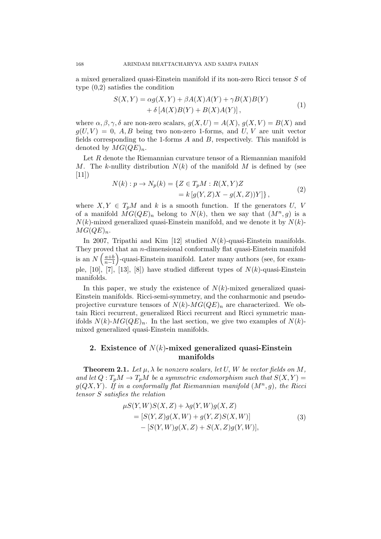a mixed generalized quasi-Einstein manifold if its non-zero Ricci tensor S of type (0,2) satisfies the condition

$$
S(X,Y) = \alpha g(X,Y) + \beta A(X)A(Y) + \gamma B(X)B(Y) + \delta [A(X)B(Y) + B(X)A(Y)],
$$
\n(1)

where  $\alpha, \beta, \gamma, \delta$  are non-zero scalars,  $g(X, U) = A(X), g(X, V) = B(X)$  and  $g(U, V) = 0$ , A, B being two non-zero 1-forms, and U, V are unit vector fields corresponding to the 1-forms  $A$  and  $B$ , respectively. This manifold is denoted by  $MG(QE)<sub>n</sub>$ .

Let R denote the Riemannian curvature tensor of a Riemannian manifold M. The k-nullity distribution  $N(k)$  of the manifold M is defined by (see  $[11]$ 

$$
N(k) : p \to N_p(k) = \{ Z \in T_p M : R(X, Y)Z = k [g(Y, Z)X - g(X, Z))Y] \},
$$
\n(2)

where  $X, Y \in T_pM$  and k is a smooth function. If the generators U, V of a manifold  $\overline{MG}(QE)_n$  belong to  $N(k)$ , then we say that  $(M^n, g)$  is a  $N(k)$ -mixed generalized quasi-Einstein manifold, and we denote it by  $N(k)$ - $MG(QE)<sub>n</sub>$ .

In 2007, Tripathi and Kim [12] studied  $N(k)$ -quasi-Einstein manifolds. They proved that an  $n$ -dimensional conformally flat quasi-Einstein manifold is an  $N\left(\frac{a+b}{n-1}\right)$ -quasi-Einstein manifold. Later many authors (see, for example,  $[10]$ ,  $[7]$ ,  $[13]$ ,  $[8]$ ) have studied different types of  $N(k)$ -quasi-Einstein manifolds.

In this paper, we study the existence of  $N(k)$ -mixed generalized quasi-Einstein manifolds. Ricci-semi-symmetry, and the conharmonic and pseudoprojective curvature tensors of  $N(k)$ - $MG(QE)<sub>n</sub>$  are characterized. We obtain Ricci recurrent, generalized Ricci recurrent and Ricci symmetric manifolds  $N(k)$ - $MG(QE)<sub>n</sub>$ . In the last section, we give two examples of  $N(k)$ mixed generalized quasi-Einstein manifolds.

### 2. Existence of  $N(k)$ -mixed generalized quasi-Einstein manifolds

**Theorem 2.1.** Let  $\mu$ ,  $\lambda$  be nonzero scalars, let U, W be vector fields on M, and let  $Q: T_pM \to T_pM$  be a symmetric endomorphism such that  $S(X,Y) =$  $g(QX,Y)$ . If in a conformally flat Riemannian manifold  $(M^n, g)$ , the Ricci tensor S satisfies the relation

$$
\mu S(Y, W)S(X, Z) + \lambda g(Y, W)g(X, Z) \n= [S(Y, Z)g(X, W) + g(Y, Z)S(X, W)] \n- [S(Y, W)g(X, Z) + S(X, Z)g(Y, W)],
$$
\n(3)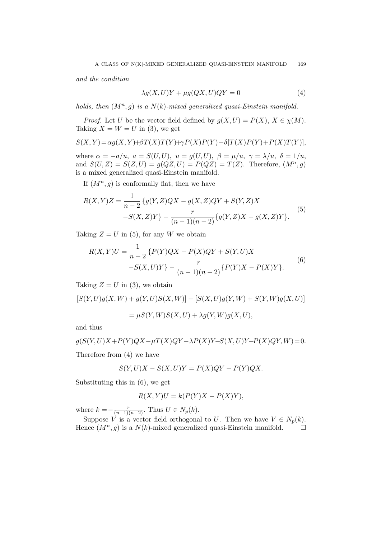and the condition

$$
\lambda g(X, U)Y + \mu g(QX, U)QY = 0 \tag{4}
$$

holds, then  $(M^n, g)$  is a  $N(k)$ -mixed generalized quasi-Einstein manifold.

*Proof.* Let U be the vector field defined by  $g(X, U) = P(X), X \in \chi(M)$ . Taking  $X = W = U$  in (3), we get

$$
S(X,Y)\!=\!\alpha g(X,Y)\!+\!\beta T(X)T(Y)\!+\!\gamma P(X)P(Y)\!+\!\delta[T(X)P(Y)\!+\!P(X)T(Y)],
$$

where  $\alpha = -a/u$ ,  $a = S(U, U)$ ,  $u = g(U, U)$ ,  $\beta = \mu/u$ ,  $\gamma = \lambda/u$ ,  $\delta = 1/u$ , and  $S(U, Z) = S(Z, U) = g(QZ, U) = P(QZ) = T(Z)$ . Therefore,  $(M^n, g)$ is a mixed generalized quasi-Einstein manifold.

If  $(M^n, g)$  is conformally flat, then we have

$$
R(X,Y)Z = \frac{1}{n-2} \{ g(Y,Z)QX - g(X,Z)QY + S(Y,Z)X
$$
  
-S(X,Z)Y\} -  $\frac{r}{(n-1)(n-2)} \{ g(Y,Z)X - g(X,Z)Y \}.$  (5)

Taking  $Z = U$  in (5), for any W we obtain

$$
R(X,Y)U = \frac{1}{n-2} \{ P(Y)QX - P(X)QY + S(Y,U)X -S(X,U)Y \} - \frac{r}{(n-1)(n-2)} \{ P(Y)X - P(X)Y \}.
$$
 (6)

Taking  $Z = U$  in (3), we obtain

$$
[S(Y, U)g(X, W) + g(Y, U)S(X, W)] - [S(X, U)g(Y, W) + S(Y, W)g(X, U)]
$$
  
=  $\mu S(Y, W)S(X, U) + \lambda g(Y, W)g(X, U),$ 

and thus

$$
g(S(Y, U)X + P(Y)QX - \mu T(X)QY - \lambda P(X)Y - S(X, U)Y - P(X)QY, W) = 0.
$$
  
Therefore from (4) we have

$$
S(Y, U)X - S(X, U)Y = P(X)QY - P(Y)QX.
$$

Substituting this in (6), we get

$$
R(X,Y)U = k(P(Y)X - P(X)Y),
$$

where  $k = -\frac{r}{(n-1)(n-2)}$ . Thus  $U \in N_p(k)$ .

Suppose V is a vector field orthogonal to U. Then we have  $V \in N_p(k)$ . Hence  $(M^n, g)$  is a  $N(k)$ -mixed generalized quasi-Einstein manifold.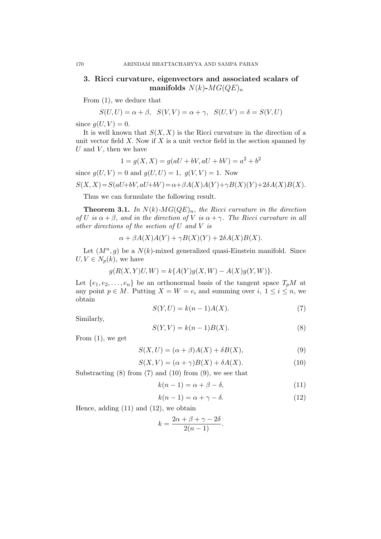## 3. Ricci curvature, eigenvectors and associated scalars of manifolds  $N(k)$ - $MG(QE)$ <sub>n</sub>

From (1), we deduce that

$$
S(U,U)=\alpha+\beta, \ \ S(V,V)=\alpha+\gamma, \ \ S(U,V)=\delta=S(V,U)
$$

since  $g(U, V) = 0$ .

It is well known that  $S(X, X)$  is the Ricci curvature in the direction of a unit vector field  $X$ . Now if  $X$  is a unit vector field in the section spanned by  $U$  and  $V$ , then we have

$$
1 = g(X, X) = g(aU + bV, aU + bV) = a^2 + b^2
$$

since  $g(U, V) = 0$  and  $g(U, U) = 1$ ,  $g(V, V) = 1$ . Now

$$
S(X, X) = S(aU + bV, aU + bV) = \alpha + \beta A(X)A(Y) + \gamma B(X)(Y) + 2\delta A(X)B(X).
$$

Thus we can formulate the following result.

**Theorem 3.1.** In  $N(k)$ - $MG(QE)<sub>n</sub>$ , the Ricci curvature in the direction of U is  $\alpha + \beta$ , and in the direction of V is  $\alpha + \gamma$ . The Ricci curvature in all other directions of the section of U and V is

$$
\alpha + \beta A(X)A(Y) + \gamma B(X)(Y) + 2\delta A(X)B(X).
$$

Let  $(M^n, g)$  be a  $N(k)$ -mixed generalized quasi-Einstein manifold. Since  $U, V \in N_p(k)$ , we have

$$
g(R(X, Y)U, W) = k\{A(Y)g(X, W) - A(X)g(Y, W)\}.
$$

Let  $\{e_1, e_2, \ldots, e_n\}$  be an orthonormal basis of the tangent space  $T_pM$  at any point  $p \in M$ . Putting  $X = W = e_i$  and summing over  $i, 1 \leq i \leq n$ , we obtain

$$
S(Y, U) = k(n-1)A(X). \tag{7}
$$

Similarly,

$$
S(Y, V) = k(n-1)B(X). \tag{8}
$$

From  $(1)$ , we get

$$
S(X, U) = (\alpha + \beta)A(X) + \delta B(X), \qquad (9)
$$

$$
S(X, V) = (\alpha + \gamma)B(X) + \delta A(X). \tag{10}
$$

Substracting  $(8)$  from  $(7)$  and  $(10)$  from  $(9)$ , we see that

$$
k(n-1) = \alpha + \beta - \delta,\tag{11}
$$

$$
k(n-1) = \alpha + \gamma - \delta. \tag{12}
$$

Hence, adding (11) and (12), we obtain

$$
k = \frac{2\alpha + \beta + \gamma - 2\delta}{2(n-1)}.
$$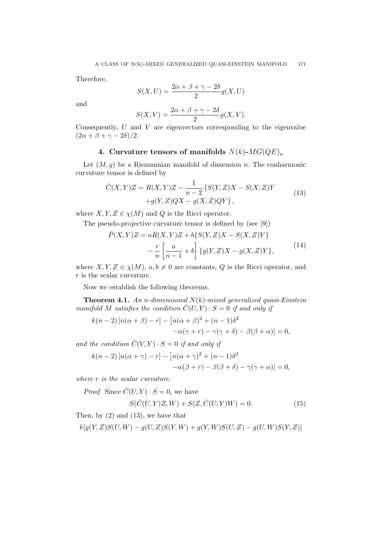Therefore,

$$
S(X, U) = \frac{2\alpha + \beta + \gamma - 2\delta}{2}g(X, U)
$$

and

$$
S(X,V) = \frac{2\alpha + \beta + \gamma - 2\delta}{2}g(X,V).
$$

Consequently,  $U$  and  $V$  are eigenvectors corresponding to the eigenvalue  $(2\alpha + \beta + \gamma - 2\delta)/2.$ 

## 4. Curvature tensors of manifolds  $N(k)$ - $MG(QE)<sub>n</sub>$

Let  $(M, g)$  be a Riemannian manifold of dimension n. The conharmonic curvature tensor is defined by

$$
\bar{C}(X,Y)Z = R(X,Y)Z - \frac{1}{n-2} \{ S(Y,Z)X - S(X,Z)Y + g(Y,Z)QX - g(X,Z)QY \},
$$
\n(13)

where  $X, Y, Z \in \chi(M)$  and Q is the Ricci operator.

The pseudo-projective curvature tensor is defined by (see [9])

$$
\bar{P}(X,Y)Z = aR(X,Y)Z + b\{S(Y,Z)X - S(X,Z)Y\} - \frac{r}{n}\left[\frac{a}{n-1} + b\right]\{g(Y,Z)X - g(X,Z)Y\},
$$
\n(14)

where  $X, Y, Z \in \chi(M), a, b \neq 0$  are constants, Q is the Ricci operator, and r is the scalar curvature.

Now we establish the following theorems.

**Theorem 4.1.** An n-dimensional  $N(k)$ -mixed generalized quasi-Einstein manifold M satisfies the condition  $\overline{C}(U, Y) \cdot S = 0$  if and only if

$$
k(n-2) [n(\alpha + \beta) - r] - [n(\alpha + \beta)^2 + (n-1)\delta^2
$$
  

$$
-\alpha(\gamma + r) - \gamma(\gamma + \delta) - \beta(\beta + \alpha)] = 0,
$$

and the condition  $\overline{C}(V, Y) \cdot S = 0$  if and only if

$$
k(n-2) [n(\alpha + \gamma) - r] - [n(\alpha + \gamma)^2 + (n-1)\delta^2
$$
  
- $\alpha(\beta + r) - \beta(\beta + \delta) - \gamma(\gamma + \alpha)] = 0,$ 

where r is the scalar curvature.

*Proof.* Since  $\overline{C}(U, Y) \cdot S = 0$ , we have

$$
S(\bar{C}(U,Y)Z,W) + S(Z,\bar{C}(U,Y)W) = 0.
$$
\n(15)

Then, by  $(2)$  and  $(13)$ , we have that

 $k[g(Y, Z)S(U, W) - g(U, Z)S(Y, W) + g(Y, W)S(U, Z) - g(U, W)S(Y, Z)]$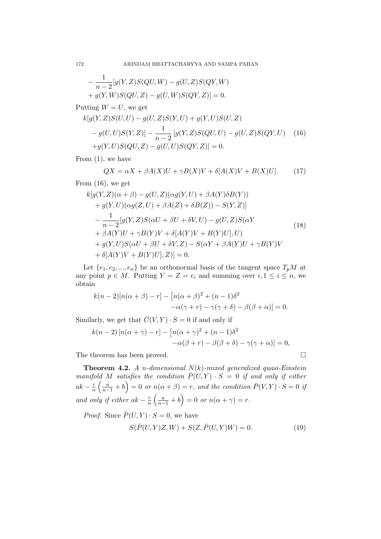$$
-\frac{1}{n-2}[g(Y,Z)S(QU,W) - g(U,Z)S(QY,W) + g(Y,W)S(QU,Z) - g(U,W)S(QY,Z)] = 0.
$$

Putting  $W = U$ , we get

$$
k[g(Y, Z)S(U, U) - g(U, Z)S(Y, U) + g(Y, U)S(U, Z) - g(U, U)S(Y, Z)] - \frac{1}{n-2}[g(Y, Z)S(QU, U) - g(U, Z)S(QY, U) \quad (16)+ g(Y, U)S(QU, Z) - g(U, U)S(QY, Z)] = 0.
$$

From (1), we have

$$
QX = \alpha X + \beta A(X)U + \gamma B(X)V + \delta[A(X)V + B(X)U].
$$
 (17)

From (16), we get

$$
k[g(Y, Z)(\alpha + \beta) - g(U, Z)(\alpha g(Y, U) + \beta A(Y)\delta B(Y))
$$
  
+  $g(Y, U)(\alpha g(Z, U) + \beta A(Z) + \delta B(Z)) - S(Y, Z)]$   
- 
$$
\frac{1}{n-2}[g(Y, Z)S(\alpha U + \beta U + \delta V, U) - g(U, Z)S(\alpha Y
$$
  
+  $\beta A(Y)U + \gamma B(Y)V + \delta[A(Y)V + B(Y)U], U)$   
+  $g(Y, U)S(\alpha U + \beta U + \delta V, Z) - S(\alpha Y + \beta A(Y)U + \gamma B(Y)V$   
+  $\delta[A(Y)V + B(Y)U], Z)] = 0.$  (18)

Let  $\{e_1, e_2, ..., e_n\}$  be an orthonormal basis of the tangent space  $T_pM$  at any point  $p \in M$ . Putting  $Y = Z = e_i$  and summing over  $i, 1 \leq i \leq n$ , we obtain

$$
k(n-2)[n(\alpha+\beta)-r] - [n(\alpha+\beta)^2 + (n-1)\delta^2
$$
  

$$
-\alpha(\gamma+r) - \gamma(\gamma+\delta) - \beta(\beta+\alpha)] = 0.
$$

Similarly, we get that  $\overline{C}(V, Y) \cdot S = 0$  if and only if

$$
k(n-2) [n(\alpha + \gamma) - r] - [n(\alpha + \gamma)^2 + (n-1)\delta^2
$$
  
 
$$
-\alpha(\beta + r) - \beta(\beta + \delta) - \gamma(\gamma + \alpha)] = 0,
$$

The theorem has been proved.  $\hfill \square$ 

**Theorem 4.2.** A n-dimensional  $N(k)$ -mixed generalized quasi-Einstein manifold M satisfies the condition  $\overline{P}(U, Y) \cdot S = 0$  if and only if either  $ak - \frac{r}{n}$  $\frac{r}{n}\left(\frac{a}{n-1}+b\right)=0$  or  $n(\alpha+\beta)=r$ , and the condition  $\bar{P}(V,Y)\cdot S=0$  if and only if either  $ak - \frac{r}{n}$  $\frac{r}{n}\left(\frac{a}{n-1}+b\right)=0$  or  $n(\alpha+\gamma)=r$ .

*Proof.* Since  $\bar{P}(U, Y) \cdot S = 0$ , we have

$$
S(\bar{P}(U,Y)Z,W) + S(Z,\bar{P}(U,Y)W) = 0.
$$
\n(19)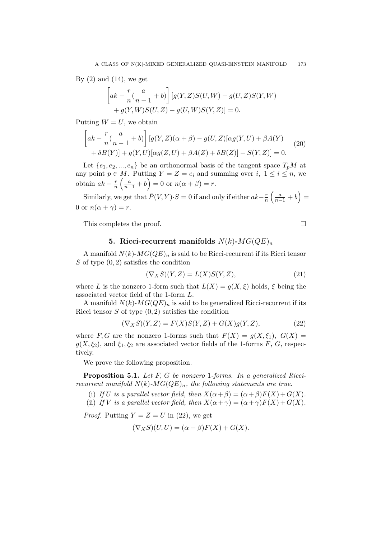By  $(2)$  and  $(14)$ , we get

$$
\[ak - \frac{r}{n}(\frac{a}{n-1} + b)\] [g(Y, Z)S(U, W) - g(U, Z)S(Y, W) + g(Y, W)S(U, Z) - g(U, W)S(Y, Z)] = 0.\]
$$

Putting  $W = U$ , we obtain

$$
\[ak - \frac{r}{n}(\frac{a}{n-1} + b)] \left[g(Y, Z)(\alpha + \beta) - g(U, Z)[\alpha g(Y, U) + \beta A(Y) + \delta B(Y)\right] + g(Y, U)[\alpha g(Z, U) + \beta A(Z) + \delta B(Z)] - S(Y, Z)] = 0.
$$
\n(20)

Let  $\{e_1, e_2, ..., e_n\}$  be an orthonormal basis of the tangent space  $T_pM$  at any point  $p \in M$ . Putting  $Y = Z = e_i$  and summing over  $i, 1 \leq i \leq n$ , we obtain  $ak - \frac{r}{n}$  $\frac{r}{n} \left( \frac{a}{n-1} + b \right) = 0$  or  $n(\alpha + \beta) = r$ .

Similarly, we get that  $\bar{P}(V, Y) \cdot S = 0$  if and only if either  $ak-\frac{r}{n}$  $\frac{r}{n}\left(\frac{a}{n-1}+b\right)=$ 0 or  $n(\alpha + \gamma) = r$ .

This completes the proof.

#### 5. Ricci-recurrent manifolds  $N(k)$ - $MG(QE)<sub>n</sub>$

A manifold  $N(k)$ - $MG(QE)<sub>n</sub>$  is said to be Ricci-recurrent if its Ricci tensor S of type  $(0, 2)$  satisfies the condition

$$
(\nabla_X S)(Y,Z) = L(X)S(Y,Z),\tag{21}
$$

where L is the nonzero 1-form such that  $L(X) = g(X, \xi)$  holds,  $\xi$  being the associated vector field of the 1-form L.

A manifold  $N(k)$ - $MG(QE)<sub>n</sub>$  is said to be generalized Ricci-recurrent if its Ricci tensor  $S$  of type  $(0, 2)$  satisfies the condition

$$
(\nabla_X S)(Y, Z) = F(X)S(Y, Z) + G(X)g(Y, Z),
$$
\n(22)

where F, G are the nonzero 1-forms such that  $F(X) = q(X, \xi_1), G(X) =$  $g(X, \xi_2)$ , and  $\xi_1, \xi_2$  are associated vector fields of the 1-forms F, G, respectively.

We prove the following proposition.

Proposition 5.1. Let F, G be nonzero 1-forms. In a generalized Riccirecurrent manifold  $N(k)$ - $MG(QE)<sub>n</sub>$ , the following statements are true.

(i) If U is a parallel vector field, then  $X(\alpha + \beta) = (\alpha + \beta)F(X) + G(X)$ .

(ii) If V is a parallel vector field, then  $X(\alpha + \gamma) = (\alpha + \gamma)F(X) + G(X)$ .

*Proof.* Putting  $Y = Z = U$  in (22), we get

$$
(\nabla_X S)(U, U) = (\alpha + \beta)F(X) + G(X).
$$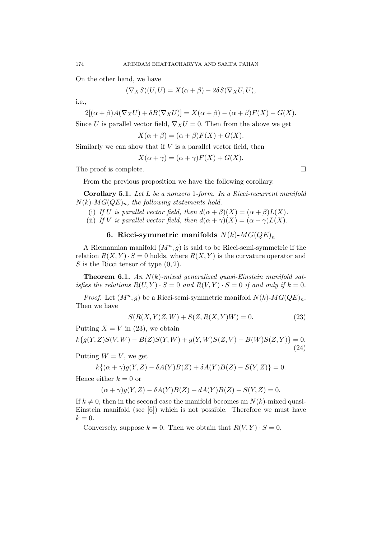On the other hand, we have

$$
(\nabla_X S)(U, U) = X(\alpha + \beta) - 2\delta S(\nabla_X U, U),
$$

i.e.,

$$
2[(\alpha + \beta)A(\nabla_X U) + \delta B(\nabla_X U)] = X(\alpha + \beta) - (\alpha + \beta)F(X) - G(X).
$$

Since U is parallel vector field,  $\nabla_X U = 0$ . Then from the above we get

$$
X(\alpha + \beta) = (\alpha + \beta)F(X) + G(X).
$$

Similarly we can show that if  $V$  is a parallel vector field, then

$$
X(\alpha + \gamma) = (\alpha + \gamma)F(X) + G(X).
$$

The proof is complete.

From the previous proposition we have the following corollary.

Corollary 5.1. Let L be a nonzero 1-form. In a Ricci-recurrent manifold  $N(k)$ - $MG(QE)<sub>n</sub>$ , the following statements hold.

- (i) If U is parallel vector field, then  $d(\alpha + \beta)(X) = (\alpha + \beta)L(X)$ .
- (ii) If V is parallel vector field, then  $d(\alpha + \gamma)(X) = (\alpha + \gamma)L(X)$ .

## 6. Ricci-symmetric manifolds  $N(k)$ - $MG(QE)<sub>n</sub>$

A Riemannian manifold  $(M^n, g)$  is said to be Ricci-semi-symmetric if the relation  $R(X, Y) \cdot S = 0$  holds, where  $R(X, Y)$  is the curvature operator and S is the Ricci tensor of type  $(0, 2)$ .

**Theorem 6.1.** An  $N(k)$ -mixed generalized quasi-Einstein manifold satisfies the relations  $R(U, Y) \cdot S = 0$  and  $R(V, Y) \cdot S = 0$  if and only if  $k = 0$ .

*Proof.* Let  $(M^n, g)$  be a Ricci-semi-symmetric manifold  $N(k)$ - $MG(QE)<sub>n</sub>$ . Then we have

$$
S(R(X, Y)Z, W) + S(Z, R(X, Y)W) = 0.
$$
\n(23)

Putting  $X = V$  in (23), we obtain

 $k{q(Y,Z)S(V,W) - B(Z)S(Y,W) + q(Y,W)S(Z,V) - B(W)S(Z,Y)} = 0.$ (24)

Putting  $W = V$ , we get

$$
k\{(\alpha + \gamma)g(Y, Z) - \delta A(Y)B(Z) + \delta A(Y)B(Z) - S(Y, Z)\} = 0.
$$

Hence either  $k = 0$  or

$$
(\alpha + \gamma)g(Y, Z) - \delta A(Y)B(Z) + dA(Y)B(Z) - S(Y, Z) = 0.
$$

If  $k \neq 0$ , then in the second case the manifold becomes an  $N(k)$ -mixed quasi-Einstein manifold (see [6]) which is not possible. Therefore we must have  $k=0.$ 

Conversely, suppose  $k = 0$ . Then we obtain that  $R(V, Y) \cdot S = 0$ .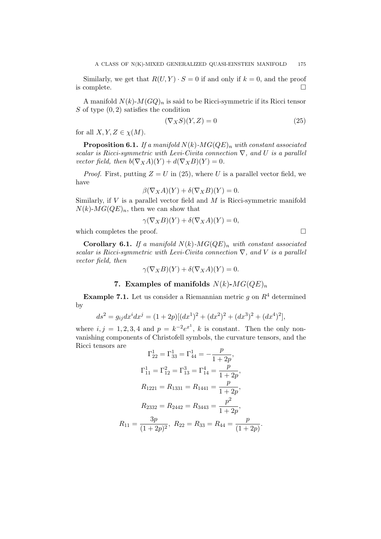Similarly, we get that  $R(U, Y) \cdot S = 0$  if and only if  $k = 0$ , and the proof is complete.

A manifold  $N(k)$ - $M(GQ)<sub>n</sub>$  is said to be Ricci-symmetric if its Ricci tensor S of type  $(0, 2)$  satisfies the condition

$$
(\nabla_X S)(Y, Z) = 0 \tag{25}
$$

for all  $X, Y, Z \in \chi(M)$ .

**Proposition 6.1.** If a manifold  $N(k)$ - $MG(QE)$ <sub>n</sub> with constant associated scalar is Ricci-symmetric with Levi-Civita connection  $\nabla$ , and U is a parallel vector field, then  $b(\nabla_X A)(Y) + d(\nabla_X B)(Y) = 0.$ 

*Proof.* First, putting  $Z = U$  in (25), where U is a parallel vector field, we have

$$
\beta(\nabla_X A)(Y) + \delta(\nabla_X B)(Y) = 0.
$$

Similarly, if  $V$  is a parallel vector field and  $M$  is Ricci-symmetric manifold  $N(k)$ - $MG(QE)<sub>n</sub>$ , then we can show that

$$
\gamma(\nabla_X B)(Y) + \delta(\nabla_X A)(Y) = 0,
$$

which completes the proof.

**Corollary 6.1.** If a manifold  $N(k)$ - $MG(QE)<sub>n</sub>$  with constant associated scalar is Ricci-symmetric with Levi-Civita connection  $\nabla$ , and V is a parallel vector field, then

$$
\gamma(\nabla_X B)(Y) + \delta(\nabla_X A)(Y) = 0.
$$

## 7. Examples of manifolds  $N(k)$ - $MG(QE)<sub>n</sub>$

**Example 7.1.** Let us consider a Riemannian metric g on  $R<sup>4</sup>$  determined by

$$
ds^{2} = g_{ij}dx^{i}dx^{j} = (1+2p)[(dx^{1})^{2} + (dx^{2})^{2} + (dx^{3})^{2} + (dx^{4})^{2}],
$$

where  $i, j = 1, 2, 3, 4$  and  $p = k^{-2}e^{x}$ , k is constant. Then the only nonvanishing components of Christofell symbols, the curvature tensors, and the Ricci tensors are

$$
\Gamma_{22}^{1} = \Gamma_{33}^{1} = \Gamma_{44}^{1} = -\frac{p}{1+2p},
$$
  
\n
$$
\Gamma_{11}^{1} = \Gamma_{12}^{2} = \Gamma_{13}^{3} = \Gamma_{14}^{4} = \frac{p}{1+2p},
$$
  
\n
$$
R_{1221} = R_{1331} = R_{1441} = \frac{p}{1+2p},
$$
  
\n
$$
R_{2332} = R_{2442} = R_{3443} = \frac{p^2}{1+2p},
$$
  
\n
$$
R_{11} = \frac{3p}{(1+2p)^2}, R_{22} = R_{33} = R_{44} = \frac{p}{(1+2p)}.
$$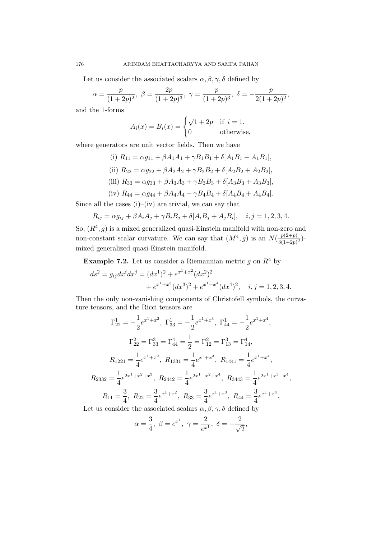Let us consider the associated scalars  $\alpha, \beta, \gamma, \delta$  defined by

$$
\alpha = \frac{p}{(1+2p)^2}, \ \beta = \frac{2p}{(1+2p)^3}, \ \gamma = \frac{p}{(1+2p)^3}, \ \delta = -\frac{p}{2(1+2p)^2},
$$

and the 1-forms

$$
A_i(x) = B_i(x) = \begin{cases} \sqrt{1+2p} & \text{if } i = 1, \\ 0 & \text{otherwise,} \end{cases}
$$

where generators are unit vector fields. Then we have

- (i)  $R_{11} = \alpha g_{11} + \beta A_1 A_1 + \gamma B_1 B_1 + \delta [A_1 B_1 + A_1 B_1],$ (ii)  $R_{22} = \alpha g_{22} + \beta A_2 A_2 + \gamma B_2 B_2 + \delta [A_2 B_2 + A_2 B_2],$ (iii)  $R_{33} = \alpha q_{33} + \beta A_3 A_3 + \gamma B_3 B_3 + \delta [A_3 B_3 + A_3 B_3],$
- (iv)  $R_{44} = \alpha g_{44} + \beta A_4 A_4 + \gamma B_4 B_4 + \delta [A_4 B_4 + A_4 B_4].$

Since all the cases  $(i)$ – $(iv)$  are trivial, we can say that

$$
R_{ij} = \alpha g_{ij} + \beta A_i A_j + \gamma B_i B_j + \delta [A_i B_j + A_j B_i], \quad i, j = 1, 2, 3, 4.
$$

So,  $(R<sup>4</sup>, g)$  is a mixed generalized quasi-Einstein manifold with non-zero and non-constant scalar curvature. We can say that  $(M^4, g)$  is an  $N(\frac{p(2+p)}{2(1+2p)})$  $rac{p(2+p)}{3(1+2p)^3}$ )mixed generalized quasi-Einstein manifold.

**Example 7.2.** Let us consider a Riemannian metric g on  $R^4$  by

$$
ds^{2} = g_{ij}dx^{i}dx^{j} = (dx^{1})^{2} + e^{x^{1}+x^{2}}(dx^{2})^{2}
$$

$$
+ e^{x^{1}+x^{3}}(dx^{3})^{2} + e^{x^{1}+x^{4}}(dx^{4})^{2}, \quad i, j = 1, 2, 3, 4.
$$

Then the only non-vanishing components of Christofell symbols, the curvature tensors, and the Ricci tensors are

$$
\Gamma_{22}^{1} = -\frac{1}{2}e^{x^{1}+x^{2}}, \ \Gamma_{33}^{1} = -\frac{1}{2}e^{x^{1}+x^{3}}, \ \Gamma_{44}^{1} = -\frac{1}{2}e^{x^{1}+x^{4}},
$$

$$
\Gamma_{22}^{2} = \Gamma_{33}^{3} = \Gamma_{44}^{4} = \frac{1}{2} = \Gamma_{12}^{2} = \Gamma_{13}^{3} = \Gamma_{14}^{4},
$$

$$
R_{1221} = \frac{1}{4}e^{x^{1}+x^{2}}, \ R_{1331} = \frac{1}{4}e^{x^{1}+x^{3}}, \ R_{1441} = \frac{1}{4}e^{x^{1}+x^{4}},
$$

$$
R_{2332} = \frac{1}{4}e^{2x^{1}+x^{2}+x^{3}}, \ R_{2442} = \frac{1}{4}e^{2x^{1}+x^{2}+x^{4}}, \ R_{3443} = \frac{1}{4}e^{2x^{1}+x^{3}+x^{4}},
$$

$$
R_{11} = \frac{3}{4}, \ R_{22} = \frac{3}{4}e^{x^{1}+x^{2}}, \ R_{33} = \frac{3}{4}e^{x^{1}+x^{3}}, \ R_{44} = \frac{3}{4}e^{x^{1}+x^{4}}.
$$

Let us consider the associated scalars  $\alpha, \beta, \gamma, \delta$  defined by

$$
\alpha = \frac{3}{4}, \ \beta = e^{x^1}, \ \gamma = \frac{2}{e^{x^1}}, \ \delta = -\frac{2}{\sqrt{2}},
$$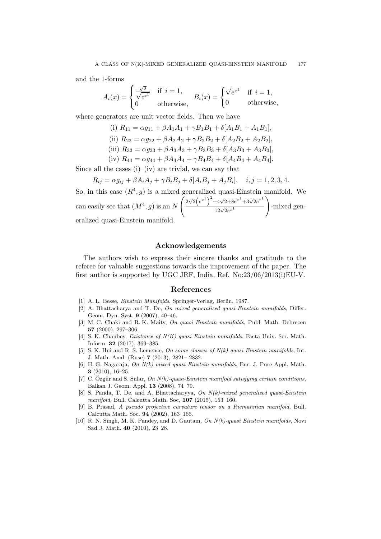and the 1-forms

$$
A_i(x) = \begin{cases} \frac{\sqrt{2}}{\sqrt{e^{x^1}}} & \text{if } i = 1, \\ 0 & \text{otherwise,} \end{cases} \quad B_i(x) = \begin{cases} \sqrt{e^{x^1}} & \text{if } i = 1, \\ 0 & \text{otherwise,} \end{cases}
$$

where generators are unit vector fields. Then we have

(i) 
$$
R_{11} = \alpha g_{11} + \beta A_1 A_1 + \gamma B_1 B_1 + \delta [A_1 B_1 + A_1 B_1],
$$

(ii) 
$$
R_{22} = \alpha g_{22} + \beta A_2 A_2 + \gamma B_2 B_2 + \delta [A_2 B_2 + A_2 B_2],
$$

(iii) 
$$
R_{33} = \alpha g_{33} + \beta A_3 A_3 + \gamma B_3 B_3 + \delta [A_3 B_3 + A_3 B_3],
$$

(iv) 
$$
R_{44} = \alpha g_{44} + \beta A_4 A_4 + \gamma B_4 B_4 + \delta [A_4 B_4 + A_4 B_4].
$$

Since all the cases  $(i)$ – $(iv)$  are trivial, we can say that

$$
R_{ij} = \alpha g_{ij} + \beta A_i A_j + \gamma B_i B_j + \delta [A_i B_j + A_j B_i], \quad i, j = 1, 2, 3, 4.
$$

So, in this case  $(R^4, g)$  is a mixed generalized quasi-Einstein manifold. We can easily see that  $(M^4, g)$  is an N  $\int 2\sqrt{2} (e^{x^1})^2 + 4\sqrt{2} + 8e^{x^1} + 3\sqrt{2}e^{x^1}$  $\sqrt{2}e^{x}$ <sup>1</sup>  $\setminus$ -mixed generalized quasi-Einstein manifold.

#### Acknowledgements

The authors wish to express their sincere thanks and gratitude to the referee for valuable suggestions towards the improvement of the paper. The first author is supported by UGC JRF, India, Ref. No:23/06/2013(i)EU-V.

#### References

- [1] A. L. Besse, Einstein Manifolds, Springer-Verlag, Berlin, 1987.
- [2] A. Bhattacharya and T. De, On mixed generalized quasi-Einstein manifolds, Differ. Geom. Dyn. Syst. 9 (2007), 40–46.
- [3] M. C. Chaki and R. K. Maity, On quasi Einstein manifolds, Publ. Math. Debrecen 57 (2000), 297–306.
- [4] S. K. Chaubey, *Existence of N(K)-quasi Einstein manifolds*, Facta Univ. Ser. Math. Inform. 32 (2017), 369–385.
- [5] S. K. Hui and R. S. Lemence, On some classes of  $N(k)$ -quasi Einstein manifolds, Int. J. Math. Anal. (Ruse) 7 (2013), 2821– 2832.
- [6] H. G. Nagaraja, On N(k)-mixed quasi-Einstein manifolds, Eur. J. Pure Appl. Math. 3 (2010), 16–25.
- [7] C. Özgür and S. Sular, On  $N(k)$ -quasi-Einstein manifold satisfying certain conditions, Balkan J. Geom. Appl. 13 (2008), 74–79.
- [8] S. Panda, T. De, and A. Bhattacharyya, On N(k)-mixed generalized quasi-Einstein manifold, Bull. Calcutta Math. Soc, 107 (2015), 153–160.
- [9] B. Prasad, A pseudo projective curvature tensor on a Riemannian manifold, Bull. Calcutta Math. Soc. 94 (2002), 163–166.
- [10] R. N. Singh, M. K. Pandey, and D. Gautam, On N(k)-quasi Einstein manifolds, Novi Sad J. Math. 40 (2010), 23–28.